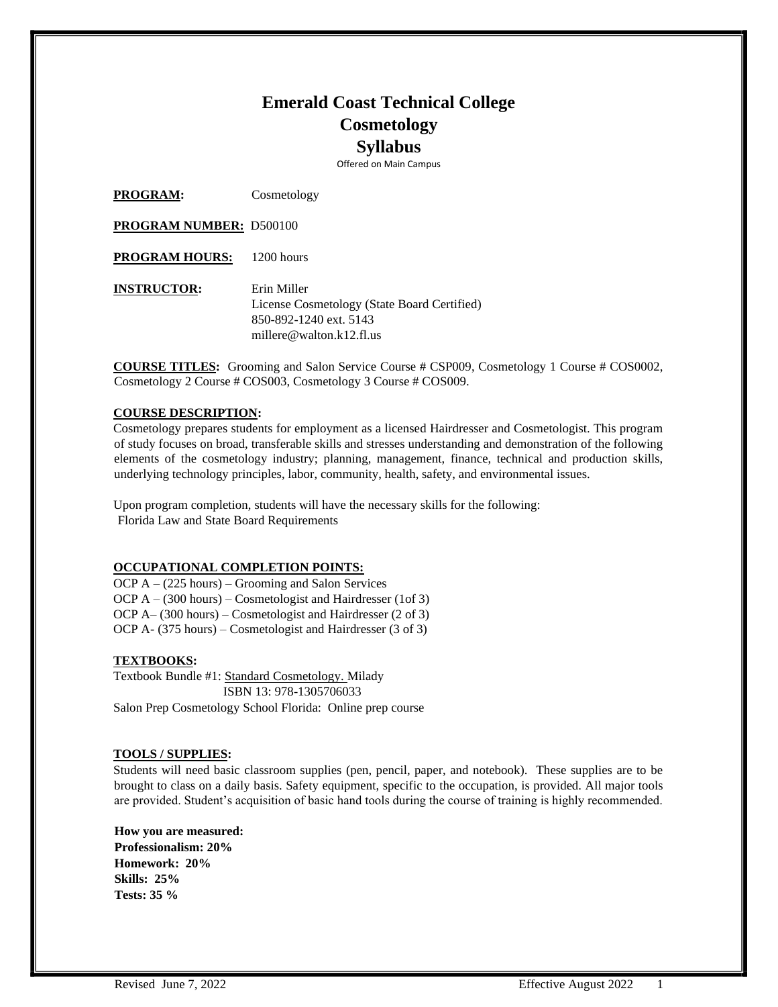# **Emerald Coast Technical College Cosmetology Syllabus**

Offered on Main Campus

**PROGRAM:** Cosmetology

**PROGRAM NUMBER:** D500100

PROGRAM HOURS: 1200 hours

**INSTRUCTOR:** Erin Miller License Cosmetology (State Board Certified) 850-892-1240 ext. 5143 millere@walton.k12.fl.us

**COURSE TITLES:** Grooming and Salon Service Course # CSP009, Cosmetology 1 Course # COS0002, Cosmetology 2 Course # COS003, Cosmetology 3 Course # COS009.

## **COURSE DESCRIPTION:**

Cosmetology prepares students for employment as a licensed Hairdresser and Cosmetologist. This program of study focuses on broad, transferable skills and stresses understanding and demonstration of the following elements of the cosmetology industry; planning, management, finance, technical and production skills, underlying technology principles, labor, community, health, safety, and environmental issues.

Upon program completion, students will have the necessary skills for the following: Florida Law and State Board Requirements

## **OCCUPATIONAL COMPLETION POINTS:**

OCP A – (225 hours) – Grooming and Salon Services OCP A – (300 hours) – Cosmetologist and Hairdresser (1of 3) OCP A– (300 hours) – Cosmetologist and Hairdresser (2 of 3) OCP A- (375 hours) – Cosmetologist and Hairdresser (3 of 3)

## **TEXTBOOKS:**

Textbook Bundle #1: Standard Cosmetology. Milady ISBN 13: 978-1305706033 Salon Prep Cosmetology School Florida: Online prep course

#### **TOOLS / SUPPLIES:**

Students will need basic classroom supplies (pen, pencil, paper, and notebook). These supplies are to be brought to class on a daily basis. Safety equipment, specific to the occupation, is provided. All major tools are provided. Student's acquisition of basic hand tools during the course of training is highly recommended.

**How you are measured: Professionalism: 20% Homework: 20% Skills: 25% Tests: 35 %**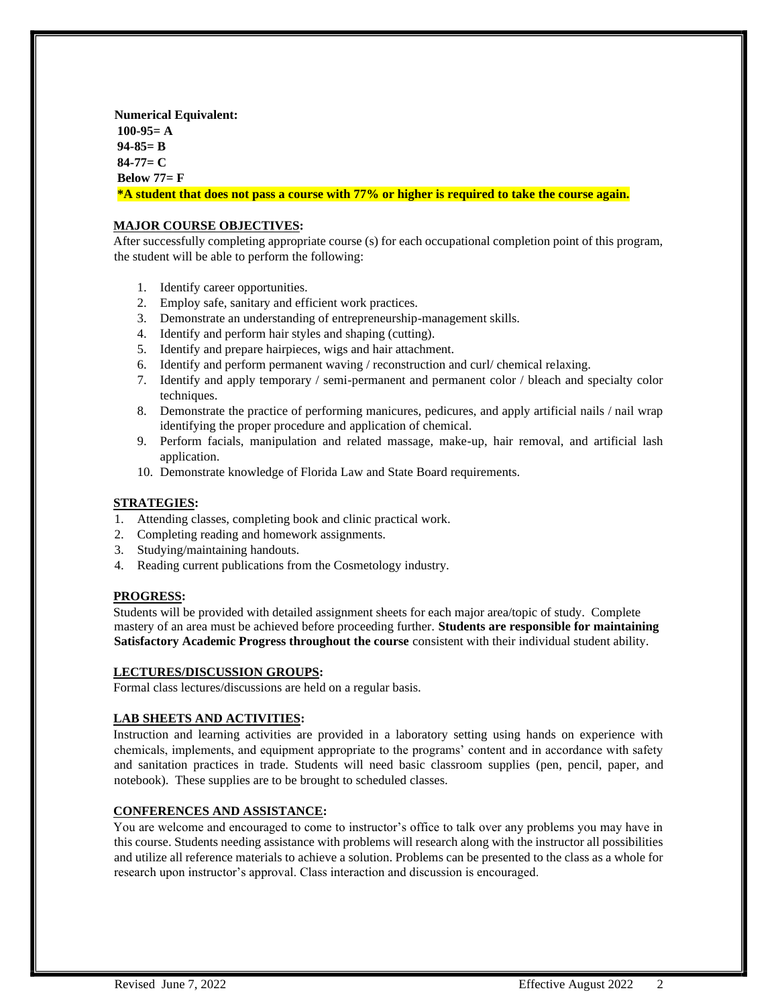**Numerical Equivalent: 100-95= A 94-85= B 84-77= C Below 77= F \*A student that does not pass a course with 77% or higher is required to take the course again.**

# **MAJOR COURSE OBJECTIVES:**

After successfully completing appropriate course (s) for each occupational completion point of this program, the student will be able to perform the following:

- 1. Identify career opportunities.
- 2. Employ safe, sanitary and efficient work practices.
- 3. Demonstrate an understanding of entrepreneurship-management skills.
- 4. Identify and perform hair styles and shaping (cutting).
- 5. Identify and prepare hairpieces, wigs and hair attachment.
- 6. Identify and perform permanent waving / reconstruction and curl/ chemical relaxing.
- 7. Identify and apply temporary / semi-permanent and permanent color / bleach and specialty color techniques.
- 8. Demonstrate the practice of performing manicures, pedicures, and apply artificial nails / nail wrap identifying the proper procedure and application of chemical.
- 9. Perform facials, manipulation and related massage, make-up, hair removal, and artificial lash application.
- 10. Demonstrate knowledge of Florida Law and State Board requirements.

#### **STRATEGIES:**

- 1. Attending classes, completing book and clinic practical work.
- 2. Completing reading and homework assignments.
- 3. Studying/maintaining handouts.
- 4. Reading current publications from the Cosmetology industry.

## **PROGRESS:**

Students will be provided with detailed assignment sheets for each major area/topic of study. Complete mastery of an area must be achieved before proceeding further. **Students are responsible for maintaining Satisfactory Academic Progress throughout the course** consistent with their individual student ability.

## **LECTURES/DISCUSSION GROUPS:**

Formal class lectures/discussions are held on a regular basis.

## **LAB SHEETS AND ACTIVITIES:**

Instruction and learning activities are provided in a laboratory setting using hands on experience with chemicals, implements, and equipment appropriate to the programs' content and in accordance with safety and sanitation practices in trade. Students will need basic classroom supplies (pen, pencil, paper, and notebook). These supplies are to be brought to scheduled classes.

## **CONFERENCES AND ASSISTANCE:**

You are welcome and encouraged to come to instructor's office to talk over any problems you may have in this course. Students needing assistance with problems will research along with the instructor all possibilities and utilize all reference materials to achieve a solution. Problems can be presented to the class as a whole for research upon instructor's approval. Class interaction and discussion is encouraged.